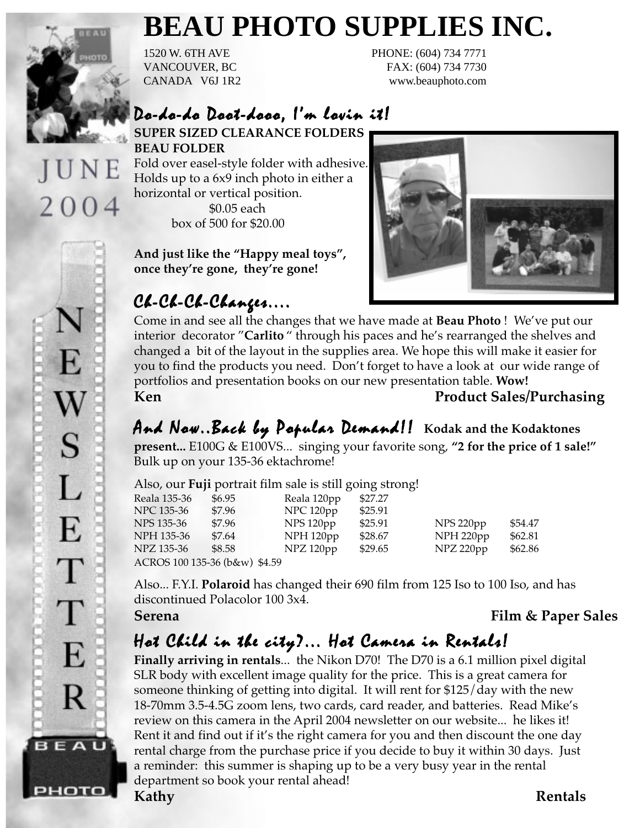

UNE

2004

# **BEAU PHOTO SUPPLIES INC.**

1520 W. 6TH AVE PHONE: (604) 734 7771 VANCOUVER, BC FAX: (604) 734 7730 CANADA V6J 1R2 www.beauphoto.com

## Do-do-do Doot-dooo, I'm lovin it!

**SUPER SIZED CLEARANCE FOLDERS BEAU FOLDER**

Fold over easel-style folder with adhesive. Holds up to a 6x9 inch photo in either a horizontal or vertical position. \$0.05 each

box of 500 for \$20.00

**And just like the "Happy meal toys", once they're gone, they're gone!**

## $CL-C4-C4-C4$ anges....



Come in and see all the changes that we have made at **Beau Photo** ! We've put our interior decorator "**Carlito** " through his paces and he's rearranged the shelves and changed a bit of the layout in the supplies area. We hope this will make it easier for you to find the products you need. Don't forget to have a look at our wide range of portfolios and presentation books on our new presentation table. **Wow!** Ken **Product Sales/Purchasing** 

And Now..Back by Popular Demand!! Kodak and the Kodaktones

**present...** E100G & E100VS... singing your favorite song, **"2 for the price of 1 sale!"** Bulk up on your 135-36 ektachrome!

|  | Also, our Fuji portrait film sale is still going strong! |  |  |  |
|--|----------------------------------------------------------|--|--|--|
|  |                                                          |  |  |  |

| Reala 135-36                  | \$6.95 | Reala 120pp          | \$27.27 |           |         |  |  |
|-------------------------------|--------|----------------------|---------|-----------|---------|--|--|
| NPC 135-36                    | \$7.96 | NPC 120pp            | \$25.91 |           |         |  |  |
| NPS 135-36                    | \$7.96 | NPS 120pp            | \$25.91 | NPS 220pp | \$54.47 |  |  |
| NPH 135-36                    | \$7.64 | NPH <sub>120pp</sub> | \$28.67 | NPH 220pp | \$62.81 |  |  |
| NPZ 135-36                    | \$8.58 | NPZ 120pp            | \$29.65 | NPZ 220pp | \$62.86 |  |  |
| ACROS 100 135-36 (b&w) \$4.59 |        |                      |         |           |         |  |  |

Also... F.Y.I. **Polaroid** has changed their 690 film from 125 Iso to 100 Iso, and has discontinued Polacolor 100 3x4.

**Serena Film & Paper Sales**

## Hot Child in the city?... Hot Camera in Rentals!

**Finally arriving in rentals**... the Nikon D70! The D70 is a 6.1 million pixel digital SLR body with excellent image quality for the price. This is a great camera for someone thinking of getting into digital. It will rent for \$125/day with the new 18-70mm 3.5-4.5G zoom lens, two cards, card reader, and batteries. Read Mike's review on this camera in the April 2004 newsletter on our website... he likes it! Rent it and find out if it's the right camera for you and then discount the one day rental charge from the purchase price if you decide to buy it within 30 days. Just a reminder: this summer is shaping up to be a very busy year in the rental department so book your rental ahead!

E S L E T T E R BEAU рното

**Kathy Rentals**